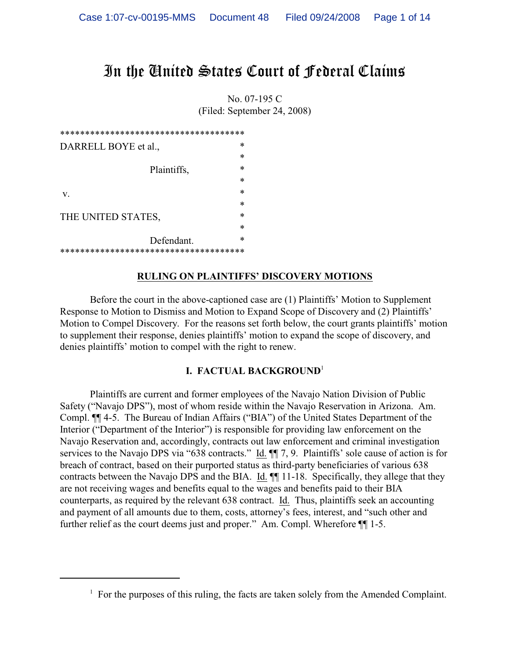# In the United States Court of Federal Claims

No. 07-195 C (Filed: September 24, 2008)

| ************************************** |  |
|----------------------------------------|--|
| ∗<br>DARRELL BOYE et al.,              |  |
| ∗                                      |  |
| ∗<br>Plaintiffs,                       |  |
| *                                      |  |
| ∗<br>V.                                |  |
| ∗                                      |  |
| ∗<br>THE UNITED STATES,                |  |
| ∗                                      |  |
| *<br>Defendant.                        |  |
| ************************************** |  |

### **RULING ON PLAINTIFFS' DISCOVERY MOTIONS**

Before the court in the above-captioned case are (1) Plaintiffs' Motion to Supplement Response to Motion to Dismiss and Motion to Expand Scope of Discovery and (2) Plaintiffs' Motion to Compel Discovery. For the reasons set forth below, the court grants plaintiffs' motion to supplement their response, denies plaintiffs' motion to expand the scope of discovery, and denies plaintiffs' motion to compel with the right to renew.

### **I. FACTUAL BACKGROUND**<sup>1</sup>

Plaintiffs are current and former employees of the Navajo Nation Division of Public Safety ("Navajo DPS"), most of whom reside within the Navajo Reservation in Arizona. Am. Compl. ¶¶ 4-5. The Bureau of Indian Affairs ("BIA") of the United States Department of the Interior ("Department of the Interior") is responsible for providing law enforcement on the Navajo Reservation and, accordingly, contracts out law enforcement and criminal investigation services to the Navajo DPS via "638 contracts." Id.  $\P$  7, 9. Plaintiffs' sole cause of action is for breach of contract, based on their purported status as third-party beneficiaries of various 638 contracts between the Navajo DPS and the BIA. Id. ¶¶ 11-18. Specifically, they allege that they are not receiving wages and benefits equal to the wages and benefits paid to their BIA counterparts, as required by the relevant 638 contract. Id. Thus, plaintiffs seek an accounting and payment of all amounts due to them, costs, attorney's fees, interest, and "such other and further relief as the court deems just and proper." Am. Compl. Wherefore ¶¶ 1-5.

 $F$ <sup>1</sup> For the purposes of this ruling, the facts are taken solely from the Amended Complaint.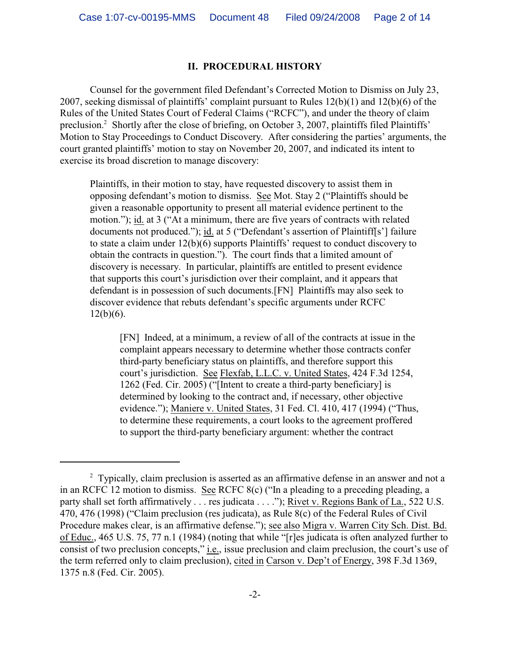## **II. PROCEDURAL HISTORY**

Counsel for the government filed Defendant's Corrected Motion to Dismiss on July 23, 2007, seeking dismissal of plaintiffs' complaint pursuant to Rules 12(b)(1) and 12(b)(6) of the Rules of the United States Court of Federal Claims ("RCFC"), and under the theory of claim preclusion.<sup>2</sup> Shortly after the close of briefing, on October 3, 2007, plaintiffs filed Plaintiffs' Motion to Stay Proceedings to Conduct Discovery. After considering the parties' arguments, the court granted plaintiffs' motion to stay on November 20, 2007, and indicated its intent to exercise its broad discretion to manage discovery:

Plaintiffs, in their motion to stay, have requested discovery to assist them in opposing defendant's motion to dismiss. See Mot. Stay 2 ("Plaintiffs should be given a reasonable opportunity to present all material evidence pertinent to the motion."); id. at 3 ("At a minimum, there are five years of contracts with related documents not produced."); id. at 5 ("Defendant's assertion of Plaintiff[s'] failure to state a claim under 12(b)(6) supports Plaintiffs' request to conduct discovery to obtain the contracts in question."). The court finds that a limited amount of discovery is necessary. In particular, plaintiffs are entitled to present evidence that supports this court's jurisdiction over their complaint, and it appears that defendant is in possession of such documents.[FN] Plaintiffs may also seek to discover evidence that rebuts defendant's specific arguments under RCFC  $12(b)(6)$ .

[FN] Indeed, at a minimum, a review of all of the contracts at issue in the complaint appears necessary to determine whether those contracts confer third-party beneficiary status on plaintiffs, and therefore support this court's jurisdiction. See Flexfab, L.L.C. v. United States, 424 F.3d 1254, 1262 (Fed. Cir. 2005) ("[Intent to create a third-party beneficiary] is determined by looking to the contract and, if necessary, other objective evidence."); Maniere v. United States, 31 Fed. Cl. 410, 417 (1994) ("Thus, to determine these requirements, a court looks to the agreement proffered to support the third-party beneficiary argument: whether the contract

<sup>&</sup>lt;sup>2</sup> Typically, claim preclusion is asserted as an affirmative defense in an answer and not a in an RCFC 12 motion to dismiss. See RCFC 8(c) ("In a pleading to a preceding pleading, a party shall set forth affirmatively . . . res judicata . . . ."); Rivet v. Regions Bank of La., 522 U.S. 470, 476 (1998) ("Claim preclusion (res judicata), as Rule 8(c) of the Federal Rules of Civil Procedure makes clear, is an affirmative defense."); see also Migra v. Warren City Sch. Dist. Bd. of Educ., 465 U.S. 75, 77 n.1 (1984) (noting that while "[r]es judicata is often analyzed further to consist of two preclusion concepts," i.e., issue preclusion and claim preclusion, the court's use of the term referred only to claim preclusion), cited in Carson v. Dep't of Energy, 398 F.3d 1369, 1375 n.8 (Fed. Cir. 2005).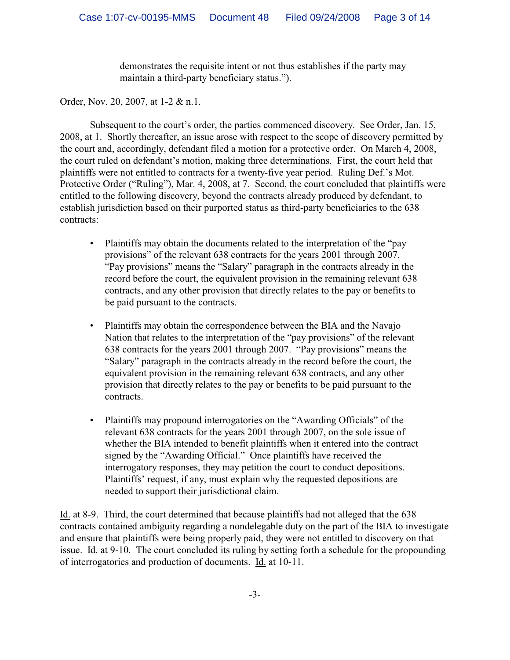demonstrates the requisite intent or not thus establishes if the party may maintain a third-party beneficiary status.").

Order, Nov. 20, 2007, at 1-2 & n.1.

Subsequent to the court's order, the parties commenced discovery. See Order, Jan. 15, 2008, at 1. Shortly thereafter, an issue arose with respect to the scope of discovery permitted by the court and, accordingly, defendant filed a motion for a protective order. On March 4, 2008, the court ruled on defendant's motion, making three determinations. First, the court held that plaintiffs were not entitled to contracts for a twenty-five year period. Ruling Def.'s Mot. Protective Order ("Ruling"), Mar. 4, 2008, at 7. Second, the court concluded that plaintiffs were entitled to the following discovery, beyond the contracts already produced by defendant, to establish jurisdiction based on their purported status as third-party beneficiaries to the 638 contracts:

- Plaintiffs may obtain the documents related to the interpretation of the "pay" provisions" of the relevant 638 contracts for the years 2001 through 2007. "Pay provisions" means the "Salary" paragraph in the contracts already in the record before the court, the equivalent provision in the remaining relevant 638 contracts, and any other provision that directly relates to the pay or benefits to be paid pursuant to the contracts.
- Plaintiffs may obtain the correspondence between the BIA and the Navajo Nation that relates to the interpretation of the "pay provisions" of the relevant 638 contracts for the years 2001 through 2007. "Pay provisions" means the "Salary" paragraph in the contracts already in the record before the court, the equivalent provision in the remaining relevant 638 contracts, and any other provision that directly relates to the pay or benefits to be paid pursuant to the contracts.
- Plaintiffs may propound interrogatories on the "Awarding Officials" of the relevant 638 contracts for the years 2001 through 2007, on the sole issue of whether the BIA intended to benefit plaintiffs when it entered into the contract signed by the "Awarding Official." Once plaintiffs have received the interrogatory responses, they may petition the court to conduct depositions. Plaintiffs' request, if any, must explain why the requested depositions are needed to support their jurisdictional claim.

Id. at 8-9. Third, the court determined that because plaintiffs had not alleged that the 638 contracts contained ambiguity regarding a nondelegable duty on the part of the BIA to investigate and ensure that plaintiffs were being properly paid, they were not entitled to discovery on that issue. Id. at 9-10. The court concluded its ruling by setting forth a schedule for the propounding of interrogatories and production of documents. Id. at 10-11.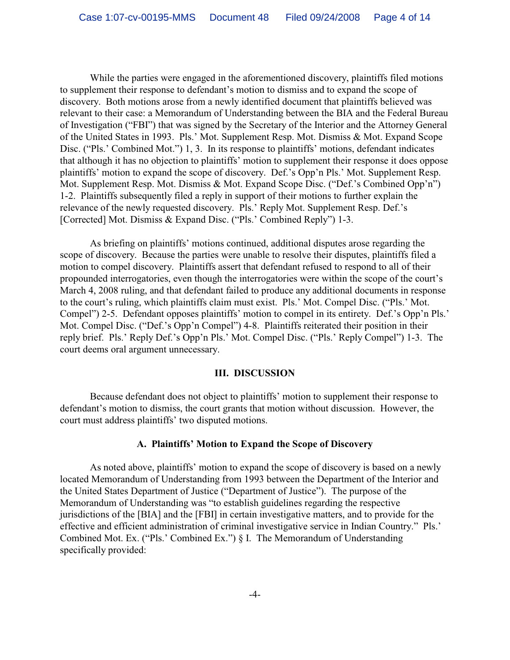While the parties were engaged in the aforementioned discovery, plaintiffs filed motions to supplement their response to defendant's motion to dismiss and to expand the scope of discovery. Both motions arose from a newly identified document that plaintiffs believed was relevant to their case: a Memorandum of Understanding between the BIA and the Federal Bureau of Investigation ("FBI") that was signed by the Secretary of the Interior and the Attorney General of the United States in 1993. Pls.' Mot. Supplement Resp. Mot. Dismiss & Mot. Expand Scope Disc. ("Pls.' Combined Mot.") 1, 3. In its response to plaintiffs' motions, defendant indicates that although it has no objection to plaintiffs' motion to supplement their response it does oppose plaintiffs' motion to expand the scope of discovery. Def.'s Opp'n Pls.' Mot. Supplement Resp. Mot. Supplement Resp. Mot. Dismiss & Mot. Expand Scope Disc. ("Def.'s Combined Opp'n") 1-2. Plaintiffs subsequently filed a reply in support of their motions to further explain the relevance of the newly requested discovery. Pls.' Reply Mot. Supplement Resp. Def.'s [Corrected] Mot. Dismiss & Expand Disc. ("Pls.' Combined Reply") 1-3.

As briefing on plaintiffs' motions continued, additional disputes arose regarding the scope of discovery. Because the parties were unable to resolve their disputes, plaintiffs filed a motion to compel discovery. Plaintiffs assert that defendant refused to respond to all of their propounded interrogatories, even though the interrogatories were within the scope of the court's March 4, 2008 ruling, and that defendant failed to produce any additional documents in response to the court's ruling, which plaintiffs claim must exist. Pls.' Mot. Compel Disc. ("Pls.' Mot. Compel") 2-5. Defendant opposes plaintiffs' motion to compel in its entirety. Def.'s Opp'n Pls.' Mot. Compel Disc. ("Def.'s Opp'n Compel") 4-8. Plaintiffs reiterated their position in their reply brief. Pls.' Reply Def.'s Opp'n Pls.' Mot. Compel Disc. ("Pls.' Reply Compel") 1-3. The court deems oral argument unnecessary.

#### **III. DISCUSSION**

Because defendant does not object to plaintiffs' motion to supplement their response to defendant's motion to dismiss, the court grants that motion without discussion. However, the court must address plaintiffs' two disputed motions.

#### **A. Plaintiffs' Motion to Expand the Scope of Discovery**

As noted above, plaintiffs' motion to expand the scope of discovery is based on a newly located Memorandum of Understanding from 1993 between the Department of the Interior and the United States Department of Justice ("Department of Justice"). The purpose of the Memorandum of Understanding was "to establish guidelines regarding the respective jurisdictions of the [BIA] and the [FBI] in certain investigative matters, and to provide for the effective and efficient administration of criminal investigative service in Indian Country." Pls.' Combined Mot. Ex. ("Pls.' Combined Ex.") § I. The Memorandum of Understanding specifically provided: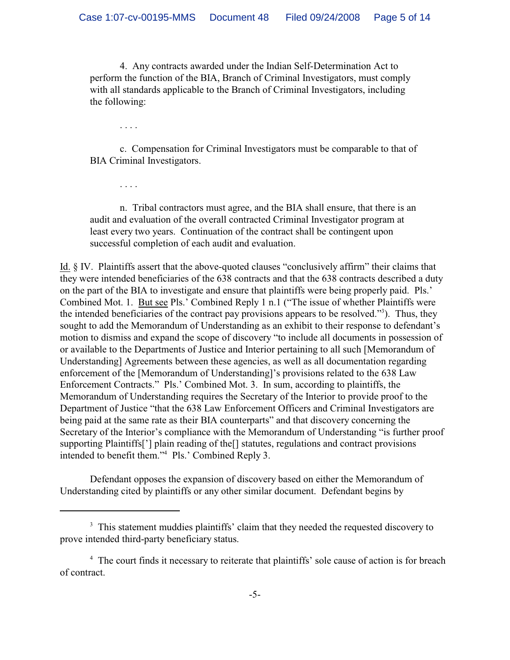4. Any contracts awarded under the Indian Self-Determination Act to perform the function of the BIA, Branch of Criminal Investigators, must comply with all standards applicable to the Branch of Criminal Investigators, including the following:

. . . .

c. Compensation for Criminal Investigators must be comparable to that of BIA Criminal Investigators.

. . . .

n. Tribal contractors must agree, and the BIA shall ensure, that there is an audit and evaluation of the overall contracted Criminal Investigator program at least every two years. Continuation of the contract shall be contingent upon successful completion of each audit and evaluation.

Id. § IV. Plaintiffs assert that the above-quoted clauses "conclusively affirm" their claims that they were intended beneficiaries of the 638 contracts and that the 638 contracts described a duty on the part of the BIA to investigate and ensure that plaintiffs were being properly paid. Pls.' Combined Mot. 1. But see Pls.' Combined Reply 1 n.1 ("The issue of whether Plaintiffs were the intended beneficiaries of the contract pay provisions appears to be resolved."<sup>3</sup>). Thus, they sought to add the Memorandum of Understanding as an exhibit to their response to defendant's motion to dismiss and expand the scope of discovery "to include all documents in possession of or available to the Departments of Justice and Interior pertaining to all such [Memorandum of Understanding] Agreements between these agencies, as well as all documentation regarding enforcement of the [Memorandum of Understanding]'s provisions related to the 638 Law Enforcement Contracts." Pls.' Combined Mot. 3. In sum, according to plaintiffs, the Memorandum of Understanding requires the Secretary of the Interior to provide proof to the Department of Justice "that the 638 Law Enforcement Officers and Criminal Investigators are being paid at the same rate as their BIA counterparts" and that discovery concerning the Secretary of the Interior's compliance with the Memorandum of Understanding "is further proof supporting Plaintiffs['] plain reading of the[] statutes, regulations and contract provisions intended to benefit them."<sup>4</sup> Pls.' Combined Reply 3.

Defendant opposes the expansion of discovery based on either the Memorandum of Understanding cited by plaintiffs or any other similar document. Defendant begins by

<sup>&</sup>lt;sup>3</sup> This statement muddies plaintiffs' claim that they needed the requested discovery to prove intended third-party beneficiary status.

<sup>&</sup>lt;sup>4</sup> The court finds it necessary to reiterate that plaintiffs' sole cause of action is for breach of contract.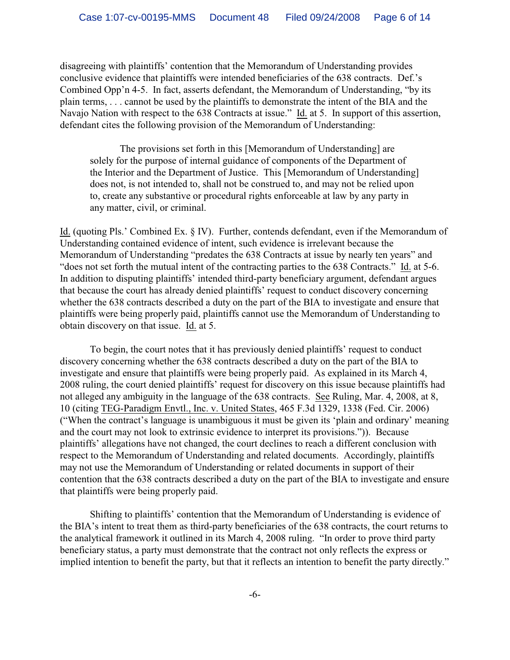disagreeing with plaintiffs' contention that the Memorandum of Understanding provides conclusive evidence that plaintiffs were intended beneficiaries of the 638 contracts. Def.'s Combined Opp'n 4-5. In fact, asserts defendant, the Memorandum of Understanding, "by its plain terms, . . . cannot be used by the plaintiffs to demonstrate the intent of the BIA and the Navajo Nation with respect to the 638 Contracts at issue." Id. at 5. In support of this assertion, defendant cites the following provision of the Memorandum of Understanding:

The provisions set forth in this [Memorandum of Understanding] are solely for the purpose of internal guidance of components of the Department of the Interior and the Department of Justice. This [Memorandum of Understanding] does not, is not intended to, shall not be construed to, and may not be relied upon to, create any substantive or procedural rights enforceable at law by any party in any matter, civil, or criminal.

Id. (quoting Pls.' Combined Ex. § IV). Further, contends defendant, even if the Memorandum of Understanding contained evidence of intent, such evidence is irrelevant because the Memorandum of Understanding "predates the 638 Contracts at issue by nearly ten years" and "does not set forth the mutual intent of the contracting parties to the 638 Contracts." Id. at 5-6. In addition to disputing plaintiffs' intended third-party beneficiary argument, defendant argues that because the court has already denied plaintiffs' request to conduct discovery concerning whether the 638 contracts described a duty on the part of the BIA to investigate and ensure that plaintiffs were being properly paid, plaintiffs cannot use the Memorandum of Understanding to obtain discovery on that issue. Id. at 5.

To begin, the court notes that it has previously denied plaintiffs' request to conduct discovery concerning whether the 638 contracts described a duty on the part of the BIA to investigate and ensure that plaintiffs were being properly paid. As explained in its March 4, 2008 ruling, the court denied plaintiffs' request for discovery on this issue because plaintiffs had not alleged any ambiguity in the language of the 638 contracts. See Ruling, Mar. 4, 2008, at 8, 10 (citing TEG-Paradigm Envtl., Inc. v. United States, 465 F.3d 1329, 1338 (Fed. Cir. 2006) ("When the contract's language is unambiguous it must be given its 'plain and ordinary' meaning and the court may not look to extrinsic evidence to interpret its provisions.")). Because plaintiffs' allegations have not changed, the court declines to reach a different conclusion with respect to the Memorandum of Understanding and related documents. Accordingly, plaintiffs may not use the Memorandum of Understanding or related documents in support of their contention that the 638 contracts described a duty on the part of the BIA to investigate and ensure that plaintiffs were being properly paid.

Shifting to plaintiffs' contention that the Memorandum of Understanding is evidence of the BIA's intent to treat them as third-party beneficiaries of the 638 contracts, the court returns to the analytical framework it outlined in its March 4, 2008 ruling. "In order to prove third party beneficiary status, a party must demonstrate that the contract not only reflects the express or implied intention to benefit the party, but that it reflects an intention to benefit the party directly."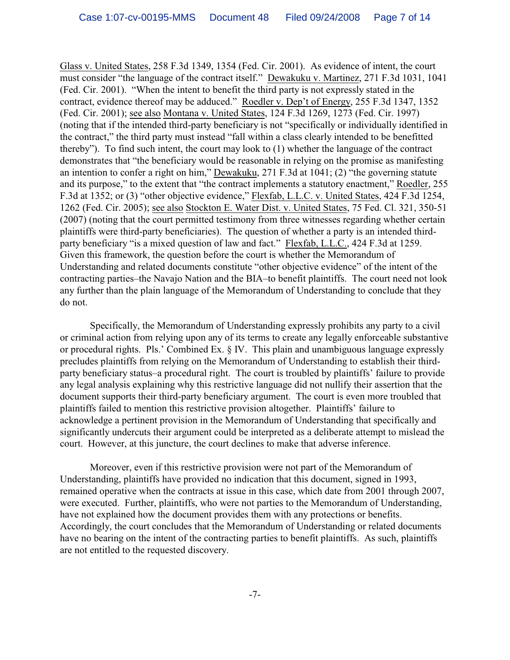Glass v. United States, 258 F.3d 1349, 1354 (Fed. Cir. 2001). As evidence of intent, the court must consider "the language of the contract itself." Dewakuku v. Martinez, 271 F.3d 1031, 1041 (Fed. Cir. 2001). "When the intent to benefit the third party is not expressly stated in the contract, evidence thereof may be adduced." Roedler v. Dep't of Energy, 255 F.3d 1347, 1352 (Fed. Cir. 2001); see also Montana v. United States, 124 F.3d 1269, 1273 (Fed. Cir. 1997) (noting that if the intended third-party beneficiary is not "specifically or individually identified in the contract," the third party must instead "fall within a class clearly intended to be benefitted thereby"). To find such intent, the court may look to (1) whether the language of the contract demonstrates that "the beneficiary would be reasonable in relying on the promise as manifesting an intention to confer a right on him," Dewakuku, 271 F.3d at 1041; (2) "the governing statute and its purpose," to the extent that "the contract implements a statutory enactment," Roedler, 255 F.3d at 1352; or (3) "other objective evidence," Flexfab, L.L.C. v. United States, 424 F.3d 1254, 1262 (Fed. Cir. 2005); see also Stockton E. Water Dist. v. United States, 75 Fed. Cl. 321, 350-51 (2007) (noting that the court permitted testimony from three witnesses regarding whether certain plaintiffs were third-party beneficiaries). The question of whether a party is an intended thirdparty beneficiary "is a mixed question of law and fact." Flexfab, L.L.C., 424 F.3d at 1259. Given this framework, the question before the court is whether the Memorandum of Understanding and related documents constitute "other objective evidence" of the intent of the contracting parties–the Navajo Nation and the BIA–to benefit plaintiffs. The court need not look any further than the plain language of the Memorandum of Understanding to conclude that they do not.

Specifically, the Memorandum of Understanding expressly prohibits any party to a civil or criminal action from relying upon any of its terms to create any legally enforceable substantive or procedural rights. Pls.' Combined Ex. § IV. This plain and unambiguous language expressly precludes plaintiffs from relying on the Memorandum of Understanding to establish their thirdparty beneficiary status–a procedural right. The court is troubled by plaintiffs' failure to provide any legal analysis explaining why this restrictive language did not nullify their assertion that the document supports their third-party beneficiary argument. The court is even more troubled that plaintiffs failed to mention this restrictive provision altogether. Plaintiffs' failure to acknowledge a pertinent provision in the Memorandum of Understanding that specifically and significantly undercuts their argument could be interpreted as a deliberate attempt to mislead the court. However, at this juncture, the court declines to make that adverse inference.

Moreover, even if this restrictive provision were not part of the Memorandum of Understanding, plaintiffs have provided no indication that this document, signed in 1993, remained operative when the contracts at issue in this case, which date from 2001 through 2007, were executed. Further, plaintiffs, who were not parties to the Memorandum of Understanding, have not explained how the document provides them with any protections or benefits. Accordingly, the court concludes that the Memorandum of Understanding or related documents have no bearing on the intent of the contracting parties to benefit plaintiffs. As such, plaintiffs are not entitled to the requested discovery.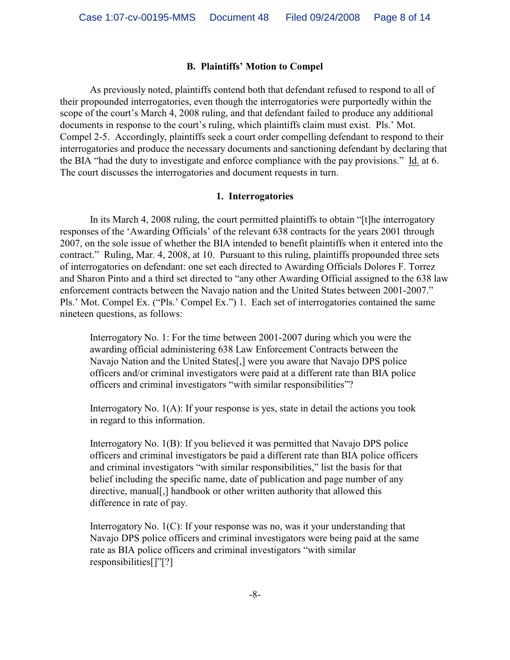### **B. Plaintiffs' Motion to Compel**

As previously noted, plaintiffs contend both that defendant refused to respond to all of their propounded interrogatories, even though the interrogatories were purportedly within the scope of the court's March 4, 2008 ruling, and that defendant failed to produce any additional documents in response to the court's ruling, which plaintiffs claim must exist. Pls.' Mot. Compel 2-5. Accordingly, plaintiffs seek a court order compelling defendant to respond to their interrogatories and produce the necessary documents and sanctioning defendant by declaring that the BIA "had the duty to investigate and enforce compliance with the pay provisions." Id. at 6. The court discusses the interrogatories and document requests in turn.

#### **1. Interrogatories**

In its March 4, 2008 ruling, the court permitted plaintiffs to obtain "[t]he interrogatory responses of the 'Awarding Officials' of the relevant 638 contracts for the years 2001 through 2007, on the sole issue of whether the BIA intended to benefit plaintiffs when it entered into the contract." Ruling, Mar. 4, 2008, at 10. Pursuant to this ruling, plaintiffs propounded three sets of interrogatories on defendant: one set each directed to Awarding Officials Dolores F. Torrez and Sharon Pinto and a third set directed to "any other Awarding Official assigned to the 638 law enforcement contracts between the Navajo nation and the United States between 2001-2007." Pls.' Mot. Compel Ex. ("Pls.' Compel Ex.") 1. Each set of interrogatories contained the same nineteen questions, as follows:

Interrogatory No. 1: For the time between 2001-2007 during which you were the awarding official administering 638 Law Enforcement Contracts between the Navajo Nation and the United States[,] were you aware that Navajo DPS police officers and/or criminal investigators were paid at a different rate than BIA police officers and criminal investigators "with similar responsibilities"?

Interrogatory No. 1(A): If your response is yes, state in detail the actions you took in regard to this information.

Interrogatory No. 1(B): If you believed it was permitted that Navajo DPS police officers and criminal investigators be paid a different rate than BIA police officers and criminal investigators "with similar responsibilities," list the basis for that belief including the specific name, date of publication and page number of any directive, manual[,] handbook or other written authority that allowed this difference in rate of pay.

Interrogatory No. 1(C): If your response was no, was it your understanding that Navajo DPS police officers and criminal investigators were being paid at the same rate as BIA police officers and criminal investigators "with similar responsibilities[]"[?]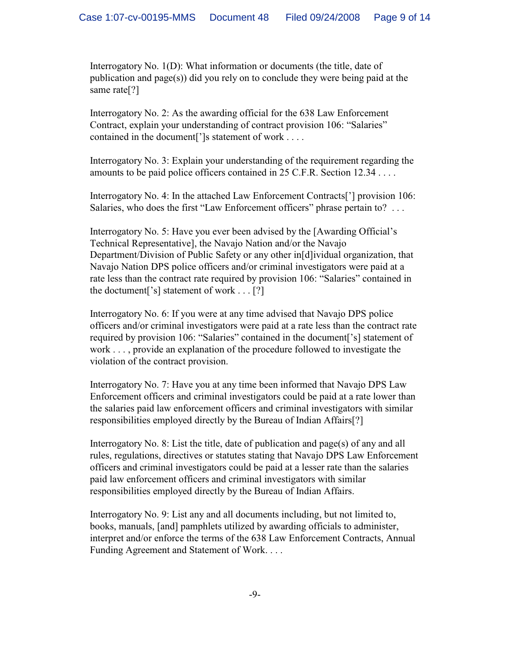Interrogatory No. 1(D): What information or documents (the title, date of publication and page(s)) did you rely on to conclude they were being paid at the same rate[?]

Interrogatory No. 2: As the awarding official for the 638 Law Enforcement Contract, explain your understanding of contract provision 106: "Salaries" contained in the document<sup>[']</sup>s statement of work . . . .

Interrogatory No. 3: Explain your understanding of the requirement regarding the amounts to be paid police officers contained in 25 C.F.R. Section 12.34 . . . .

Interrogatory No. 4: In the attached Law Enforcement Contracts['] provision 106: Salaries, who does the first "Law Enforcement officers" phrase pertain to? . . .

Interrogatory No. 5: Have you ever been advised by the [Awarding Official's Technical Representative], the Navajo Nation and/or the Navajo Department/Division of Public Safety or any other in[d]ividual organization, that Navajo Nation DPS police officers and/or criminal investigators were paid at a rate less than the contract rate required by provision 106: "Salaries" contained in the doctument['s] statement of work . . . [?]

Interrogatory No. 6: If you were at any time advised that Navajo DPS police officers and/or criminal investigators were paid at a rate less than the contract rate required by provision 106: "Salaries" contained in the document['s] statement of work . . . , provide an explanation of the procedure followed to investigate the violation of the contract provision.

Interrogatory No. 7: Have you at any time been informed that Navajo DPS Law Enforcement officers and criminal investigators could be paid at a rate lower than the salaries paid law enforcement officers and criminal investigators with similar responsibilities employed directly by the Bureau of Indian Affairs[?]

Interrogatory No. 8: List the title, date of publication and page(s) of any and all rules, regulations, directives or statutes stating that Navajo DPS Law Enforcement officers and criminal investigators could be paid at a lesser rate than the salaries paid law enforcement officers and criminal investigators with similar responsibilities employed directly by the Bureau of Indian Affairs.

Interrogatory No. 9: List any and all documents including, but not limited to, books, manuals, [and] pamphlets utilized by awarding officials to administer, interpret and/or enforce the terms of the 638 Law Enforcement Contracts, Annual Funding Agreement and Statement of Work. . . .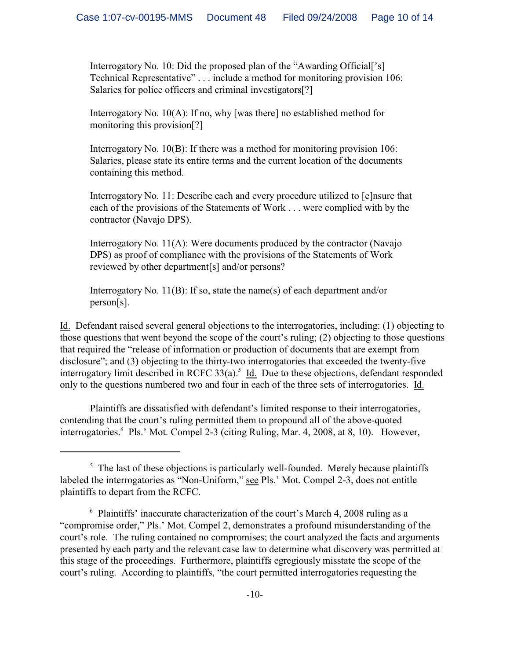Interrogatory No. 10: Did the proposed plan of the "Awarding Official['s] Technical Representative" . . . include a method for monitoring provision 106: Salaries for police officers and criminal investigators<sup>[?]</sup>

Interrogatory No. 10(A): If no, why [was there] no established method for monitoring this provision[?]

Interrogatory No. 10(B): If there was a method for monitoring provision 106: Salaries, please state its entire terms and the current location of the documents containing this method.

Interrogatory No. 11: Describe each and every procedure utilized to [e]nsure that each of the provisions of the Statements of Work . . . were complied with by the contractor (Navajo DPS).

Interrogatory No. 11(A): Were documents produced by the contractor (Navajo DPS) as proof of compliance with the provisions of the Statements of Work reviewed by other department[s] and/or persons?

Interrogatory No. 11(B): If so, state the name(s) of each department and/or person[s].

Id. Defendant raised several general objections to the interrogatories, including: (1) objecting to those questions that went beyond the scope of the court's ruling; (2) objecting to those questions that required the "release of information or production of documents that are exempt from disclosure"; and (3) objecting to the thirty-two interrogatories that exceeded the twenty-five interrogatory limit described in RCFC  $33(a)$ .<sup>5</sup> Id. Due to these objections, defendant responded only to the questions numbered two and four in each of the three sets of interrogatories. Id.

Plaintiffs are dissatisfied with defendant's limited response to their interrogatories, contending that the court's ruling permitted them to propound all of the above-quoted interrogatories.<sup>6</sup> Pls.' Mot. Compel 2-3 (citing Ruling, Mar. 4, 2008, at 8, 10). However,

 $<sup>5</sup>$  The last of these objections is particularly well-founded. Merely because plaintiffs</sup> labeled the interrogatories as "Non-Uniform," see Pls.' Mot. Compel 2-3, does not entitle plaintiffs to depart from the RCFC.

 $6$  Plaintiffs' inaccurate characterization of the court's March 4, 2008 ruling as a "compromise order," Pls.' Mot. Compel 2, demonstrates a profound misunderstanding of the court's role. The ruling contained no compromises; the court analyzed the facts and arguments presented by each party and the relevant case law to determine what discovery was permitted at this stage of the proceedings. Furthermore, plaintiffs egregiously misstate the scope of the court's ruling. According to plaintiffs, "the court permitted interrogatories requesting the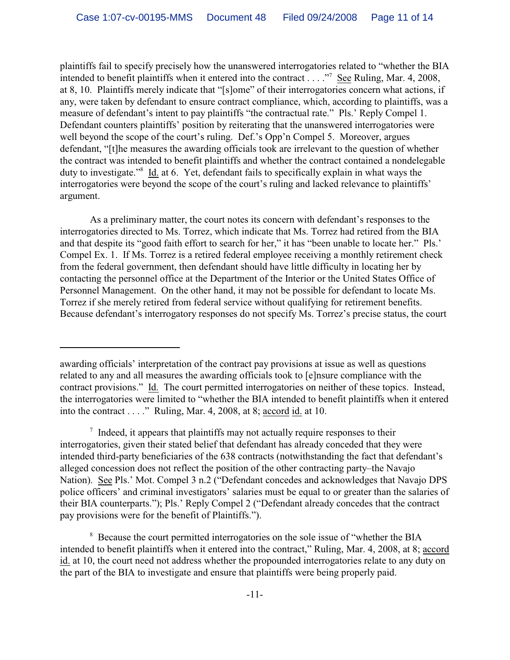plaintiffs fail to specify precisely how the unanswered interrogatories related to "whether the BIA intended to benefit plaintiffs when it entered into the contract  $\dots$ ." See Ruling, Mar. 4, 2008, at 8, 10. Plaintiffs merely indicate that "[s]ome" of their interrogatories concern what actions, if any, were taken by defendant to ensure contract compliance, which, according to plaintiffs, was a measure of defendant's intent to pay plaintiffs "the contractual rate." Pls.' Reply Compel 1. Defendant counters plaintiffs' position by reiterating that the unanswered interrogatories were well beyond the scope of the court's ruling. Def.'s Opp'n Compel 5. Moreover, argues defendant, "[t]he measures the awarding officials took are irrelevant to the question of whether the contract was intended to benefit plaintiffs and whether the contract contained a nondelegable duty to investigate."<sup>8</sup> Id. at 6. Yet, defendant fails to specifically explain in what ways the interrogatories were beyond the scope of the court's ruling and lacked relevance to plaintiffs' argument.

As a preliminary matter, the court notes its concern with defendant's responses to the interrogatories directed to Ms. Torrez, which indicate that Ms. Torrez had retired from the BIA and that despite its "good faith effort to search for her," it has "been unable to locate her." Pls.' Compel Ex. 1. If Ms. Torrez is a retired federal employee receiving a monthly retirement check from the federal government, then defendant should have little difficulty in locating her by contacting the personnel office at the Department of the Interior or the United States Office of Personnel Management. On the other hand, it may not be possible for defendant to locate Ms. Torrez if she merely retired from federal service without qualifying for retirement benefits. Because defendant's interrogatory responses do not specify Ms. Torrez's precise status, the court

awarding officials' interpretation of the contract pay provisions at issue as well as questions related to any and all measures the awarding officials took to [e]nsure compliance with the contract provisions." Id. The court permitted interrogatories on neither of these topics. Instead, the interrogatories were limited to "whether the BIA intended to benefit plaintiffs when it entered into the contract . . . ." Ruling, Mar. 4, 2008, at 8; accord id. at 10.

 $\frac{1}{2}$  Indeed, it appears that plaintiffs may not actually require responses to their interrogatories, given their stated belief that defendant has already conceded that they were intended third-party beneficiaries of the 638 contracts (notwithstanding the fact that defendant's alleged concession does not reflect the position of the other contracting party–the Navajo Nation). See Pls.' Mot. Compel 3 n.2 ("Defendant concedes and acknowledges that Navajo DPS police officers' and criminal investigators' salaries must be equal to or greater than the salaries of their BIA counterparts."); Pls.' Reply Compel 2 ("Defendant already concedes that the contract pay provisions were for the benefit of Plaintiffs.").

<sup>&</sup>lt;sup>8</sup> Because the court permitted interrogatories on the sole issue of "whether the BIA" intended to benefit plaintiffs when it entered into the contract," Ruling, Mar. 4, 2008, at 8; accord id. at 10, the court need not address whether the propounded interrogatories relate to any duty on the part of the BIA to investigate and ensure that plaintiffs were being properly paid.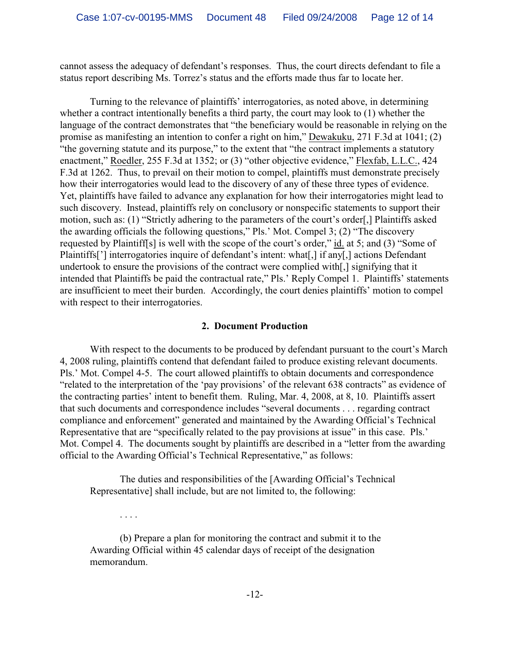cannot assess the adequacy of defendant's responses. Thus, the court directs defendant to file a status report describing Ms. Torrez's status and the efforts made thus far to locate her.

Turning to the relevance of plaintiffs' interrogatories, as noted above, in determining whether a contract intentionally benefits a third party, the court may look to (1) whether the language of the contract demonstrates that "the beneficiary would be reasonable in relying on the promise as manifesting an intention to confer a right on him," Dewakuku, 271 F.3d at 1041; (2) "the governing statute and its purpose," to the extent that "the contract implements a statutory enactment," Roedler, 255 F.3d at 1352; or (3) "other objective evidence," Flexfab, L.L.C., 424 F.3d at 1262. Thus, to prevail on their motion to compel, plaintiffs must demonstrate precisely how their interrogatories would lead to the discovery of any of these three types of evidence. Yet, plaintiffs have failed to advance any explanation for how their interrogatories might lead to such discovery. Instead, plaintiffs rely on conclusory or nonspecific statements to support their motion, such as: (1) "Strictly adhering to the parameters of the court's order[,] Plaintiffs asked the awarding officials the following questions," Pls.' Mot. Compel 3; (2) "The discovery requested by Plaintiff[s] is well with the scope of the court's order," id. at 5; and (3) "Some of Plaintiffs['] interrogatories inquire of defendant's intent: what[,] if any[,] actions Defendant undertook to ensure the provisions of the contract were complied with[,] signifying that it intended that Plaintiffs be paid the contractual rate," Pls.' Reply Compel 1. Plaintiffs' statements are insufficient to meet their burden. Accordingly, the court denies plaintiffs' motion to compel with respect to their interrogatories.

## **2. Document Production**

With respect to the documents to be produced by defendant pursuant to the court's March 4, 2008 ruling, plaintiffs contend that defendant failed to produce existing relevant documents. Pls.' Mot. Compel 4-5. The court allowed plaintiffs to obtain documents and correspondence "related to the interpretation of the 'pay provisions' of the relevant 638 contracts" as evidence of the contracting parties' intent to benefit them. Ruling, Mar. 4, 2008, at 8, 10. Plaintiffs assert that such documents and correspondence includes "several documents . . . regarding contract compliance and enforcement" generated and maintained by the Awarding Official's Technical Representative that are "specifically related to the pay provisions at issue" in this case. Pls.' Mot. Compel 4. The documents sought by plaintiffs are described in a "letter from the awarding official to the Awarding Official's Technical Representative," as follows:

The duties and responsibilities of the [Awarding Official's Technical Representative] shall include, but are not limited to, the following:

(b) Prepare a plan for monitoring the contract and submit it to the Awarding Official within 45 calendar days of receipt of the designation memorandum.

. . . .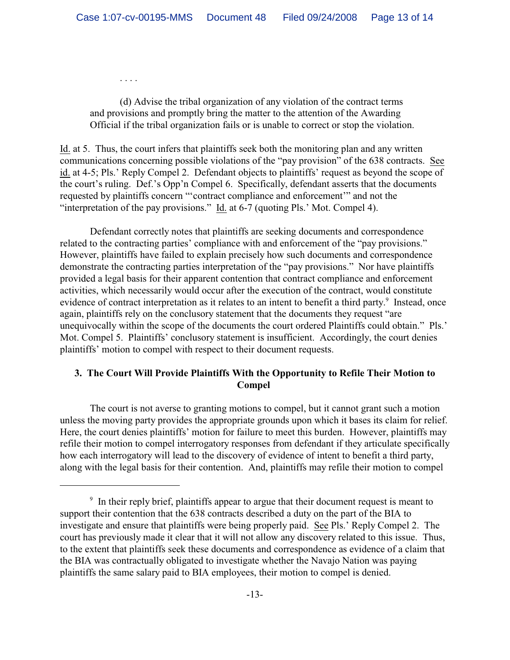(d) Advise the tribal organization of any violation of the contract terms and provisions and promptly bring the matter to the attention of the Awarding Official if the tribal organization fails or is unable to correct or stop the violation.

. . . .

Id. at 5. Thus, the court infers that plaintiffs seek both the monitoring plan and any written communications concerning possible violations of the "pay provision" of the 638 contracts. See id. at 4-5; Pls.' Reply Compel 2. Defendant objects to plaintiffs' request as beyond the scope of the court's ruling. Def.'s Opp'n Compel 6. Specifically, defendant asserts that the documents requested by plaintiffs concern "'contract compliance and enforcement'" and not the "interpretation of the pay provisions." Id. at 6-7 (quoting Pls.' Mot. Compel 4).

Defendant correctly notes that plaintiffs are seeking documents and correspondence related to the contracting parties' compliance with and enforcement of the "pay provisions." However, plaintiffs have failed to explain precisely how such documents and correspondence demonstrate the contracting parties interpretation of the "pay provisions." Nor have plaintiffs provided a legal basis for their apparent contention that contract compliance and enforcement activities, which necessarily would occur after the execution of the contract, would constitute evidence of contract interpretation as it relates to an intent to benefit a third party.<sup>9</sup> Instead, once again, plaintiffs rely on the conclusory statement that the documents they request "are unequivocally within the scope of the documents the court ordered Plaintiffs could obtain." Pls.' Mot. Compel 5. Plaintiffs' conclusory statement is insufficient. Accordingly, the court denies plaintiffs' motion to compel with respect to their document requests.

# **3. The Court Will Provide Plaintiffs With the Opportunity to Refile Their Motion to Compel**

The court is not averse to granting motions to compel, but it cannot grant such a motion unless the moving party provides the appropriate grounds upon which it bases its claim for relief. Here, the court denies plaintiffs' motion for failure to meet this burden. However, plaintiffs may refile their motion to compel interrogatory responses from defendant if they articulate specifically how each interrogatory will lead to the discovery of evidence of intent to benefit a third party, along with the legal basis for their contention. And, plaintiffs may refile their motion to compel

 $\delta$  In their reply brief, plaintiffs appear to argue that their document request is meant to support their contention that the 638 contracts described a duty on the part of the BIA to investigate and ensure that plaintiffs were being properly paid. See Pls.' Reply Compel 2. The court has previously made it clear that it will not allow any discovery related to this issue. Thus, to the extent that plaintiffs seek these documents and correspondence as evidence of a claim that the BIA was contractually obligated to investigate whether the Navajo Nation was paying plaintiffs the same salary paid to BIA employees, their motion to compel is denied.